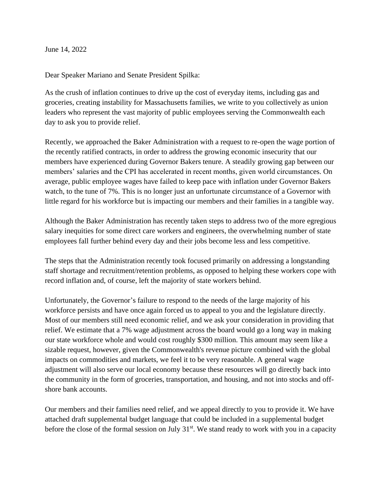June 14, 2022

Dear Speaker Mariano and Senate President Spilka:

As the crush of inflation continues to drive up the cost of everyday items, including gas and groceries, creating instability for Massachusetts families, we write to you collectively as union leaders who represent the vast majority of public employees serving the Commonwealth each day to ask you to provide relief.

Recently, we approached the Baker Administration with a request to re-open the wage portion of the recently ratified contracts, in order to address the growing economic insecurity that our members have experienced during Governor Bakers tenure. A steadily growing gap between our members' salaries and the CPI has accelerated in recent months, given world circumstances. On average, public employee wages have failed to keep pace with inflation under Governor Bakers watch, to the tune of 7%. This is no longer just an unfortunate circumstance of a Governor with little regard for his workforce but is impacting our members and their families in a tangible way.

Although the Baker Administration has recently taken steps to address two of the more egregious salary inequities for some direct care workers and engineers, the overwhelming number of state employees fall further behind every day and their jobs become less and less competitive.

The steps that the Administration recently took focused primarily on addressing a longstanding staff shortage and recruitment/retention problems, as opposed to helping these workers cope with record inflation and, of course, left the majority of state workers behind.

Unfortunately, the Governor's failure to respond to the needs of the large majority of his workforce persists and have once again forced us to appeal to you and the legislature directly. Most of our members still need economic relief, and we ask your consideration in providing that relief. We estimate that a 7% wage adjustment across the board would go a long way in making our state workforce whole and would cost roughly \$300 million. This amount may seem like a sizable request, however, given the Commonwealth's revenue picture combined with the global impacts on commodities and markets, we feel it to be very reasonable. A general wage adjustment will also serve our local economy because these resources will go directly back into the community in the form of groceries, transportation, and housing, and not into stocks and offshore bank accounts.

Our members and their families need relief, and we appeal directly to you to provide it. We have attached draft supplemental budget language that could be included in a supplemental budget before the close of the formal session on July  $31<sup>st</sup>$ . We stand ready to work with you in a capacity